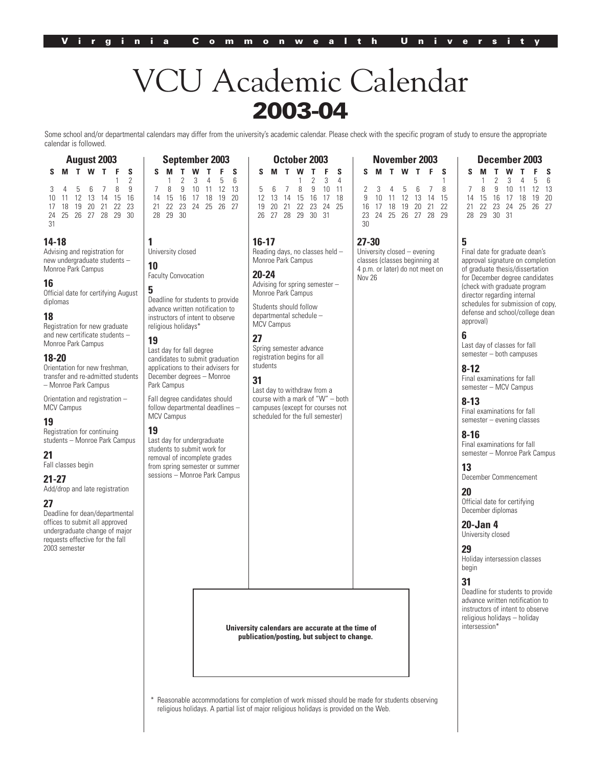## VCU Academic Calendar **2003-04**

Some school and/or departmental calendars may differ from the university's academic calendar. Please check with the specific program of study to ensure the appropriate calendar is followed.

> **W T F S**<br>1 2 3 4  $\begin{array}{ccc} 1 & 2 & 3 \\ 8 & 9 & 10 \end{array}$ 5 6 7 8 9 10 11 12 13 14 15 16 17 18 19 20 21 22 23 24 25 26 27 28 29 30 31

| <b>August 2003</b> |   |  |         |  |                   |                |  |  |  |  |  |
|--------------------|---|--|---------|--|-------------------|----------------|--|--|--|--|--|
| s                  | м |  | T W T   |  | F.                | S              |  |  |  |  |  |
|                    |   |  |         |  | 1                 | 2              |  |  |  |  |  |
| $\mathbf{3}$       |   |  | 4 5 6 7 |  | 8                 | $\overline{9}$ |  |  |  |  |  |
| 10                 |   |  |         |  | 11 12 13 14 15 16 |                |  |  |  |  |  |
| 17                 |   |  |         |  | 18 19 20 21 22 23 |                |  |  |  |  |  |
| 24                 |   |  |         |  | 25 26 27 28 29 30 |                |  |  |  |  |  |
| 31                 |   |  |         |  |                   |                |  |  |  |  |  |

### **14-18**

Advising and registration for new undergraduate students – Monroe Park Campus

**1**

**10**

**5**

**19**

University closed

Faculty Convocation

religious holidays\*

Park Campus

MCV Campus

**19**

Last day for fall degree candidates to submit graduation applications to their advisers for December degrees – Monroe

Fall degree candidates should follow departmental deadlines –

Last day for undergraduate students to submit work for removal of incomplete grades from spring semester or summer sessions – Monroe Park Campus

Deadline for students to provide advance written notification to instructors of intent to observe

### **16**

Official date for certifying August diplomas

### **18**

Registration for new graduate and new certificate students – Monroe Park Campus

### **18-20**

Orientation for new freshman, transfer and re-admitted students – Monroe Park Campus

Orientation and registration – MCV Campus

### **19**

Registration for continuing students – Monroe Park Campus

### **21**

Fall classes begin

### **21-27**

Add/drop and late registration

### **27**

Deadline for dean/departmental offices to submit all approved undergraduate change of major requests effective for the fall 2003 semester

| S M T W T F         |              |
|---------------------|--------------|
| $1 \quad 2 \quad 3$ |              |
| 5 6 7 8 9 10        |              |
| 12 13 14 15 16 17   |              |
| 19 20 21 22 23 24   |              |
| 26 27 28 29 30 31   |              |
|                     | October 2003 |

#### **16-17**

Reading days, no classes held – Monroe Park Campus

**20-24** Advising for spring semester – Monroe Park Campus

Students should follow departmental schedule – MCV Campus

### **27**

Spring semester advance registration begins for all students

**31**

Last day to withdraw from a course with a mark of "W" – both campuses (except for courses not scheduled for the full semester)

| November 2003 |                      |              |  |  |  |   |  |  |  |  |  |
|---------------|----------------------|--------------|--|--|--|---|--|--|--|--|--|
| S.            |                      | <b>MTWTF</b> |  |  |  | S |  |  |  |  |  |
|               |                      |              |  |  |  | 1 |  |  |  |  |  |
|               | 2 3 4 5 6 7          |              |  |  |  | 8 |  |  |  |  |  |
|               | 9 10 11 12 13 14 15  |              |  |  |  |   |  |  |  |  |  |
|               | 16 17 18 19 20 21 22 |              |  |  |  |   |  |  |  |  |  |
|               | 23 24 25 26 27 28 29 |              |  |  |  |   |  |  |  |  |  |
| 30            |                      |              |  |  |  |   |  |  |  |  |  |

### **27-30** University closed – evening

classes (classes beginning at 4 p.m. or later) do not meet on Nov 26

### **December 2003**

|             | S M T W T F S           |  |  |
|-------------|-------------------------|--|--|
|             | $1 \t2 \t3 \t4 \t5 \t6$ |  |  |
|             | 7 8 9 10 11 12 13       |  |  |
|             | 14 15 16 17 18 19 20    |  |  |
|             | 21 22 23 24 25 26 27    |  |  |
| 28 29 30 31 |                         |  |  |

### Final date for graduate dean's approval signature on completion of graduate thesis/dissertation for December degree candidates (check with graduate program director regarding internal schedules for submission of copy, defense and school/college dean approval) **6** Last day of classes for fall semester – both campuses **8-12** Final examinations for fall semester – MCV Campus **8-13** Final examinations for fall semester – evening classes **8-16** Final examinations for fall semester – Monroe Park Campus **13** December Commencement **20** Official date for certifying December diplomas **20-Jan 4** University closed

**5**

### **29**

Holiday intersession classes begin

### **31**

Deadline for students to provide advance written notification to instructors of intent to observe religious holidays – holiday intersession\*

**University calendars are accurate at the time of publication/posting, but subject to change.**

Reasonable accommodations for completion of work missed should be made for students observing religious holidays. A partial list of major religious holidays is provided on the Web.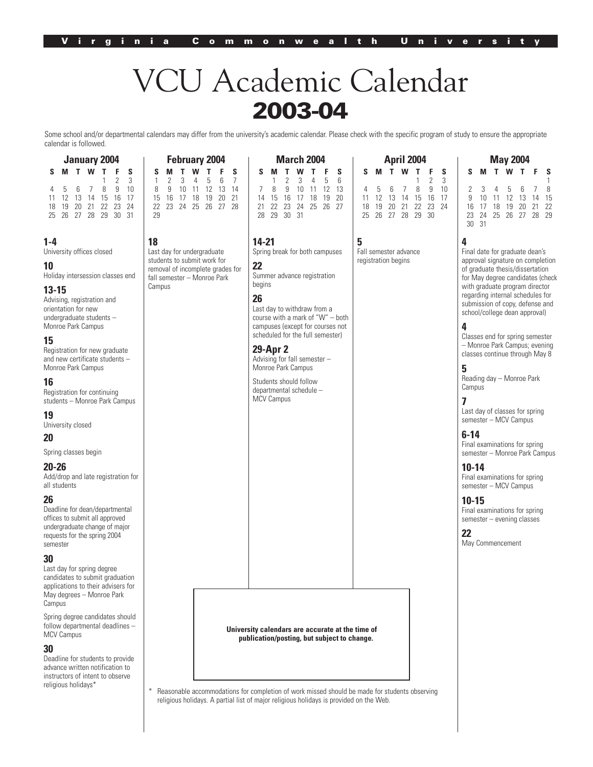# VCU Academic Calendar **2003-04**

Some school and/or departmental calendars may differ from the university's academic calendar. Please check with the specific program of study to ensure the appropriate calendar is followed.

| <b>January 2004</b>                                                                                                                                                                                                                                                                                                                                                                                                                                                                                                                                                                                                                                                                    | <b>February 2004</b>                                                                                                                                                                                | March 2004                                                                                                                                                                                                                                                                                                                                                                              | <b>April 2004</b>                                                                                                                                                         | <b>May 2004</b>                                                                                                                                                                                                                                                                                                                                                                                                                                                                                                                                                                                                                                                                                                                                                            |
|----------------------------------------------------------------------------------------------------------------------------------------------------------------------------------------------------------------------------------------------------------------------------------------------------------------------------------------------------------------------------------------------------------------------------------------------------------------------------------------------------------------------------------------------------------------------------------------------------------------------------------------------------------------------------------------|-----------------------------------------------------------------------------------------------------------------------------------------------------------------------------------------------------|-----------------------------------------------------------------------------------------------------------------------------------------------------------------------------------------------------------------------------------------------------------------------------------------------------------------------------------------------------------------------------------------|---------------------------------------------------------------------------------------------------------------------------------------------------------------------------|----------------------------------------------------------------------------------------------------------------------------------------------------------------------------------------------------------------------------------------------------------------------------------------------------------------------------------------------------------------------------------------------------------------------------------------------------------------------------------------------------------------------------------------------------------------------------------------------------------------------------------------------------------------------------------------------------------------------------------------------------------------------------|
| S<br>s<br>w<br>3<br>9<br>10<br>8<br>6<br>7<br>12<br>-13<br>14<br>15<br>16<br>17<br>11<br>20<br>21<br>22<br>23<br>24<br>18<br>19<br>25<br>26 27 28 29<br>30 31                                                                                                                                                                                                                                                                                                                                                                                                                                                                                                                          | S<br>S<br>$\overline{7}$<br>1<br>$\overline{2}$<br>6<br>3<br>5<br>4<br>14<br>8<br>9<br>10<br>12<br>13<br>11<br>20<br>21<br>15<br>16<br>18<br>19<br>17<br>22<br>23<br>24 25<br>-26<br>27<br>28<br>29 | S<br>S<br>6<br>2<br>3<br>5<br>4<br>9<br>8<br>12<br>13<br>7<br>10<br>11<br>20<br>16<br>18<br>19<br>14<br>15<br>17<br>21<br>22<br>23<br>25 26<br>- 27<br>24<br>29<br>30 31<br>28                                                                                                                                                                                                          | S<br>S<br>м<br>2<br>3<br>9<br>10<br>8<br>6<br>7<br>4<br>12<br>13<br>16<br>17<br>11<br>14<br>15<br>23<br>19<br>21<br>22<br>24<br>18<br>20<br>25<br>26<br>27<br>28 29<br>30 | S<br>S<br>1<br>8<br>2<br>3<br>7<br>9<br>10<br>12<br>15<br>11<br>13<br>14<br>20<br>21<br>22<br>16<br>17<br>18<br>19<br>26<br>28 29<br>23<br>24<br>25<br>27<br>30<br>31                                                                                                                                                                                                                                                                                                                                                                                                                                                                                                                                                                                                      |
| $1 - 4$<br>University offices closed<br>10<br>Holiday intersession classes end<br>13-15<br>Advising, registration and<br>orientation for new<br>undergraduate students -<br>Monroe Park Campus<br>15<br>Registration for new graduate<br>and new certificate students -<br>Monroe Park Campus<br>16<br>Registration for continuing<br>students - Monroe Park Campus<br>19<br>University closed<br>20<br>Spring classes begin<br>20-26<br>Add/drop and late registration for<br>all students<br>26<br>Deadline for dean/departmental<br>offices to submit all approved<br>undergraduate change of major<br>requests for the spring 2004<br>semester<br>30<br>Last day for spring degree | 18<br>Last day for undergraduate<br>students to submit work for<br>removal of incomplete grades for<br>fall semester - Monroe Park<br>Campus                                                        | $14 - 21$<br>Spring break for both campuses<br>22<br>Summer advance registration<br>begins<br>26<br>Last day to withdraw from a<br>course with a mark of "W" - both<br>campuses (except for courses not<br>scheduled for the full semester)<br>29-Apr 2<br>Advising for fall semester -<br>Monroe Park Campus<br>Students should follow<br>departmental schedule -<br><b>MCV Campus</b> | 5<br>Fall semester advance<br>registration begins                                                                                                                         | 4<br>Final date for graduate dean's<br>approval signature on completion<br>of graduate thesis/dissertation<br>for May degree candidates (check<br>with graduate program director<br>regarding internal schedules for<br>submission of copy, defense and<br>school/college dean approval)<br>4<br>Classes end for spring semester<br>- Monroe Park Campus; evening<br>classes continue through May 8<br>5<br>Reading day - Monroe Park<br>Campus<br>7<br>Last day of classes for spring<br>semester - MCV Campus<br>$6 - 14$<br>Final examinations for spring<br>semester - Monroe Park Campus<br>$10 - 14$<br>Final examinations for spring<br>semester - MCV Campus<br>$10 - 15$<br>Final examinations for spring<br>semester - evening classes<br>22<br>May Commencement |
| candidates to submit graduation<br>applications to their advisers for<br>May degrees - Monroe Park<br>Campus<br>Spring degree candidates should<br>follow departmental deadlines -<br><b>MCV Campus</b>                                                                                                                                                                                                                                                                                                                                                                                                                                                                                |                                                                                                                                                                                                     | University calendars are accurate at the time of<br>publication/posting, but subject to change.                                                                                                                                                                                                                                                                                         |                                                                                                                                                                           |                                                                                                                                                                                                                                                                                                                                                                                                                                                                                                                                                                                                                                                                                                                                                                            |
| 30                                                                                                                                                                                                                                                                                                                                                                                                                                                                                                                                                                                                                                                                                     |                                                                                                                                                                                                     |                                                                                                                                                                                                                                                                                                                                                                                         |                                                                                                                                                                           |                                                                                                                                                                                                                                                                                                                                                                                                                                                                                                                                                                                                                                                                                                                                                                            |

\* Reasonable accommodations for completion of work missed should be made for students observing religious holidays. A partial list of major religious holidays is provided on the Web.

Deadline for students to provide advance written notification to instructors of intent to observe religious holidays\*